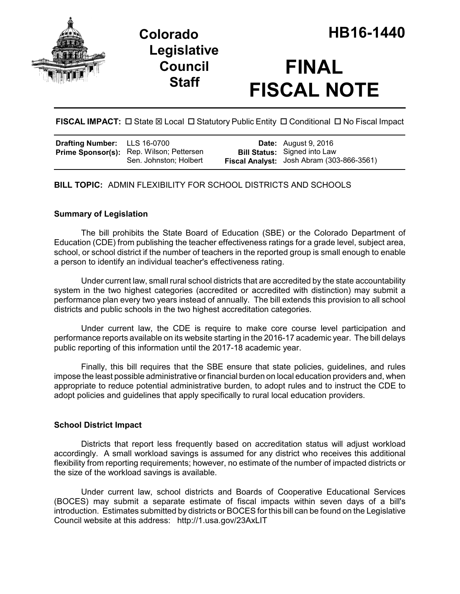



# **FINAL FISCAL NOTE**

FISCAL IMPACT:  $\Box$  State  $\boxtimes$  Local  $\Box$  Statutory Public Entity  $\Box$  Conditional  $\Box$  No Fiscal Impact

| <b>Drafting Number:</b> LLS 16-0700 |                                                                           | <b>Date:</b> August 9, 2016                                                      |
|-------------------------------------|---------------------------------------------------------------------------|----------------------------------------------------------------------------------|
|                                     | <b>Prime Sponsor(s):</b> Rep. Wilson; Pettersen<br>Sen. Johnston; Holbert | <b>Bill Status:</b> Signed into Law<br>Fiscal Analyst: Josh Abram (303-866-3561) |

**BILL TOPIC:** ADMIN FLEXIBILITY FOR SCHOOL DISTRICTS AND SCHOOLS

## **Summary of Legislation**

The bill prohibits the State Board of Education (SBE) or the Colorado Department of Education (CDE) from publishing the teacher effectiveness ratings for a grade level, subject area, school, or school district if the number of teachers in the reported group is small enough to enable a person to identify an individual teacher's effectiveness rating.

Under current law, small rural school districts that are accredited by the state accountability system in the two highest categories (accredited or accredited with distinction) may submit a performance plan every two years instead of annually. The bill extends this provision to all school districts and public schools in the two highest accreditation categories.

Under current law, the CDE is require to make core course level participation and performance reports available on its website starting in the 2016-17 academic year. The bill delays public reporting of this information until the 2017-18 academic year.

Finally, this bill requires that the SBE ensure that state policies, guidelines, and rules impose the least possible administrative or financial burden on local education providers and, when appropriate to reduce potential administrative burden, to adopt rules and to instruct the CDE to adopt policies and guidelines that apply specifically to rural local education providers.

## **School District Impact**

Districts that report less frequently based on accreditation status will adjust workload accordingly. A small workload savings is assumed for any district who receives this additional flexibility from reporting requirements; however, no estimate of the number of impacted districts or the size of the workload savings is available.

Under current law, school districts and Boards of Cooperative Educational Services (BOCES) may submit a separate estimate of fiscal impacts within seven days of a bill's introduction. Estimates submitted by districts or BOCES for this bill can be found on the Legislative Council website at this address: http://1.usa.gov/23AxLIT